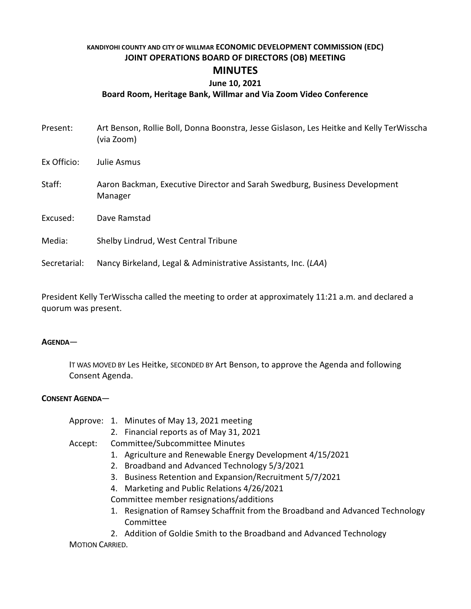#### **KANDIYOHI COUNTY AND CITY OF WILLMAR ECONOMIC DEVELOPMENT COMMISSION (EDC) JOINT OPERATIONS BOARD OF DIRECTORS (OB) MEETING**

# **MINUTES**

## **June 10, 2021**

#### **Board Room, Heritage Bank, Willmar and Via Zoom Video Conference**

| Present:     | Art Benson, Rollie Boll, Donna Boonstra, Jesse Gislason, Les Heitke and Kelly TerWisscha<br>(via Zoom) |
|--------------|--------------------------------------------------------------------------------------------------------|
| Ex Officio:  | Julie Asmus                                                                                            |
| Staff:       | Aaron Backman, Executive Director and Sarah Swedburg, Business Development<br>Manager                  |
| Excused:     | Dave Ramstad                                                                                           |
| Media:       | Shelby Lindrud, West Central Tribune                                                                   |
| Secretarial: | Nancy Birkeland, Legal & Administrative Assistants, Inc. (LAA)                                         |

President Kelly TerWisscha called the meeting to order at approximately 11:21 a.m. and declared a quorum was present.

#### **AGENDA**—

IT WAS MOVED BY Les Heitke, SECONDED BY Art Benson, to approve the Agenda and following Consent Agenda.

#### **CONSENT AGENDA**—

|  |  | Approve: 1. Minutes of May 13, 2021 meeting |
|--|--|---------------------------------------------|
|--|--|---------------------------------------------|

- 2. Financial reports as of May 31, 2021
- Accept: Committee/Subcommittee Minutes
	- 1. Agriculture and Renewable Energy Development 4/15/2021
	- 2. Broadband and Advanced Technology 5/3/2021
	- 3. Business Retention and Expansion/Recruitment 5/7/2021
	- 4. Marketing and Public Relations 4/26/2021

Committee member resignations/additions

- 1. Resignation of Ramsey Schaffnit from the Broadband and Advanced Technology Committee
- 2. Addition of Goldie Smith to the Broadband and Advanced Technology

MOTION CARRIED.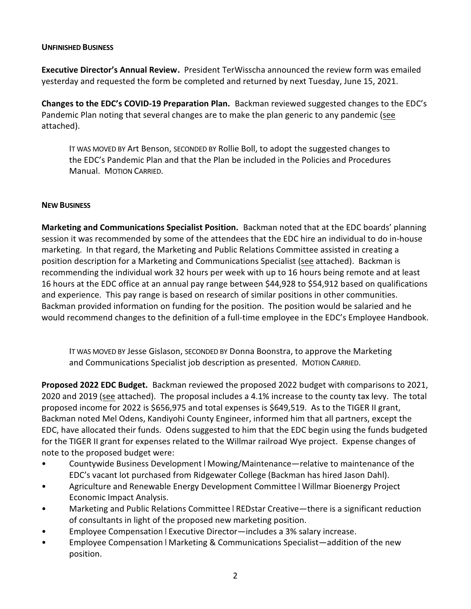#### **UNFINISHED BUSINESS**

**Executive Director's Annual Review.** President TerWisscha announced the review form was emailed yesterday and requested the form be completed and returned by next Tuesday, June 15, 2021.

**Changes to the EDC's COVID-19 Preparation Plan.** Backman reviewed suggested changes to the EDC's Pandemic Plan noting that several changes are to make the plan generic to any pandemic (see attached).

IT WAS MOVED BY Art Benson, SECONDED BY Rollie Boll, to adopt the suggested changes to the EDC's Pandemic Plan and that the Plan be included in the Policies and Procedures Manual. MOTION CARRIED.

#### **NEW BUSINESS**

**Marketing and Communications Specialist Position.** Backman noted that at the EDC boards' planning session it was recommended by some of the attendees that the EDC hire an individual to do in-house marketing. In that regard, the Marketing and Public Relations Committee assisted in creating a position description for a Marketing and Communications Specialist (see attached). Backman is recommending the individual work 32 hours per week with up to 16 hours being remote and at least 16 hours at the EDC office at an annual pay range between \$44,928 to \$54,912 based on qualifications and experience. This pay range is based on research of similar positions in other communities. Backman provided information on funding for the position. The position would be salaried and he would recommend changes to the definition of a full-time employee in the EDC's Employee Handbook.

IT WAS MOVED BY Jesse Gislason, SECONDED BY Donna Boonstra, to approve the Marketing and Communications Specialist job description as presented. MOTION CARRIED.

**Proposed 2022 EDC Budget.** Backman reviewed the proposed 2022 budget with comparisons to 2021, 2020 and 2019 (see attached). The proposal includes a 4.1% increase to the county tax levy. The total proposed income for 2022 is \$656,975 and total expenses is \$649,519. As to the TIGER II grant, Backman noted Mel Odens, Kandiyohi County Engineer, informed him that all partners, except the EDC, have allocated their funds. Odens suggested to him that the EDC begin using the funds budgeted for the TIGER II grant for expenses related to the Willmar railroad Wye project. Expense changes of note to the proposed budget were:

- Countywide Business Development | Mowing/Maintenance—relative to maintenance of the EDC's vacant lot purchased from Ridgewater College (Backman has hired Jason Dahl).
- Agriculture and Renewable Energy Development Committee | Willmar Bioenergy Project Economic Impact Analysis.
- Marketing and Public Relations Committee REDstar Creative—there is a significant reduction of consultants in light of the proposed new marketing position.
- Employee Compensation | Executive Director—includes a 3% salary increase.
- Employee Compensation | Marketing & Communications Specialist—addition of the new position.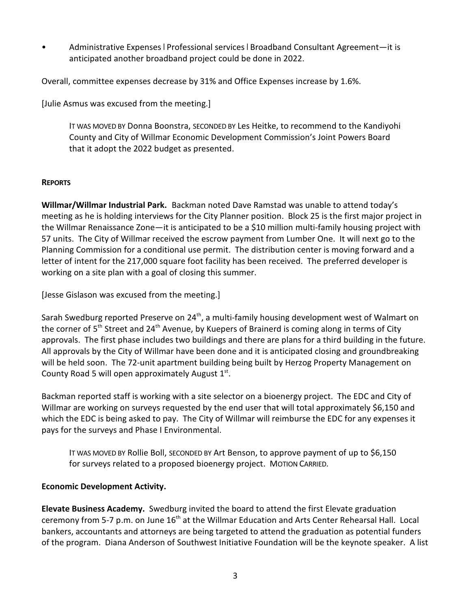• Administrative Expenses | Professional services | Broadband Consultant Agreement—it is anticipated another broadband project could be done in 2022.

Overall, committee expenses decrease by 31% and Office Expenses increase by 1.6%.

[Julie Asmus was excused from the meeting.]

IT WAS MOVED BY Donna Boonstra, SECONDED BY Les Heitke, to recommend to the Kandiyohi County and City of Willmar Economic Development Commission's Joint Powers Board that it adopt the 2022 budget as presented.

### **REPORTS**

**Willmar/Willmar Industrial Park.** Backman noted Dave Ramstad was unable to attend today's meeting as he is holding interviews for the City Planner position. Block 25 is the first major project in the Willmar Renaissance Zone—it is anticipated to be a \$10 million multi-family housing project with 57 units. The City of Willmar received the escrow payment from Lumber One. It will next go to the Planning Commission for a conditional use permit. The distribution center is moving forward and a letter of intent for the 217,000 square foot facility has been received. The preferred developer is working on a site plan with a goal of closing this summer.

[Jesse Gislason was excused from the meeting.]

Sarah Swedburg reported Preserve on 24<sup>th</sup>, a multi-family housing development west of Walmart on the corner of  $5<sup>th</sup>$  Street and 24<sup>th</sup> Avenue, by Kuepers of Brainerd is coming along in terms of City approvals. The first phase includes two buildings and there are plans for a third building in the future. All approvals by the City of Willmar have been done and it is anticipated closing and groundbreaking will be held soon. The 72-unit apartment building being built by Herzog Property Management on County Road 5 will open approximately August  $1^{st}$ .

Backman reported staff is working with a site selector on a bioenergy project. The EDC and City of Willmar are working on surveys requested by the end user that will total approximately \$6,150 and which the EDC is being asked to pay. The City of Willmar will reimburse the EDC for any expenses it pays for the surveys and Phase I Environmental.

IT WAS MOVED BY Rollie Boll, SECONDED BY Art Benson, to approve payment of up to \$6,150 for surveys related to a proposed bioenergy project. MOTION CARRIED.

# **Economic Development Activity.**

**Elevate Business Academy.** Swedburg invited the board to attend the first Elevate graduation ceremony from 5-7 p.m. on June 16<sup>th</sup> at the Willmar Education and Arts Center Rehearsal Hall. Local bankers, accountants and attorneys are being targeted to attend the graduation as potential funders of the program. Diana Anderson of Southwest Initiative Foundation will be the keynote speaker. A list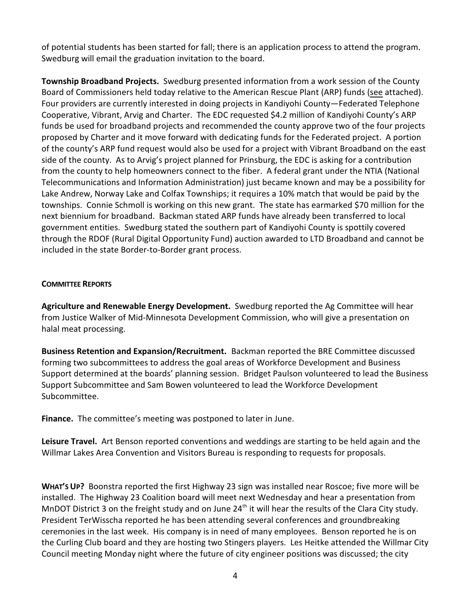of potential students has been started for fall; there is an application process to attend the program. Swedburg will email the graduation invitation to the board.

**Township Broadband Projects.** Swedburg presented information from a work session of the County Board of Commissioners held today relative to the American Rescue Plant (ARP) funds (see attached). Four providers are currently interested in doing projects in Kandiyohi County—Federated Telephone Cooperative, Vibrant, Arvig and Charter. The EDC requested \$4.2 million of Kandiyohi County's ARP funds be used for broadband projects and recommended the county approve two of the four projects proposed by Charter and it move forward with dedicating funds for the Federated project. A portion of the county's ARP fund request would also be used for a project with Vibrant Broadband on the east side of the county. As to Arvig's project planned for Prinsburg, the EDC is asking for a contribution from the county to help homeowners connect to the fiber. A federal grant under the NTIA (National Telecommunications and Information Administration) just became known and may be a possibility for Lake Andrew, Norway Lake and Colfax Townships; it requires a 10% match that would be paid by the townships. Connie Schmoll is working on this new grant. The state has earmarked \$70 million for the next biennium for broadband. Backman stated ARP funds have already been transferred to local government entities. Swedburg stated the southern part of Kandiyohi County is spottily covered through the RDOF (Rural Digital Opportunity Fund) auction awarded to LTD Broadband and cannot be included in the state Border-to-Border grant process.

#### **COMMITTEE REPORTS**

**Agriculture and Renewable Energy Development.** Swedburg reported the Ag Committee will hear from Justice Walker of Mid-Minnesota Development Commission, who will give a presentation on halal meat processing.

**Business Retention and Expansion/Recruitment.** Backman reported the BRE Committee discussed forming two subcommittees to address the goal areas of Workforce Development and Business Support determined at the boards' planning session. Bridget Paulson volunteered to lead the Business Support Subcommittee and Sam Bowen volunteered to lead the Workforce Development Subcommittee.

**Finance.** The committee's meeting was postponed to later in June.

**Leisure Travel.** Art Benson reported conventions and weddings are starting to be held again and the Willmar Lakes Area Convention and Visitors Bureau is responding to requests for proposals.

**WHAT'S UP?** Boonstra reported the first Highway 23 sign was installed near Roscoe; five more will be installed. The Highway 23 Coalition board will meet next Wednesday and hear a presentation from MnDOT District 3 on the freight study and on June 24<sup>th</sup> it will hear the results of the Clara City study. President TerWisscha reported he has been attending several conferences and groundbreaking ceremonies in the last week. His company is in need of many employees. Benson reported he is on the Curling Club board and they are hosting two Stingers players. Les Heitke attended the Willmar City Council meeting Monday night where the future of city engineer positions was discussed; the city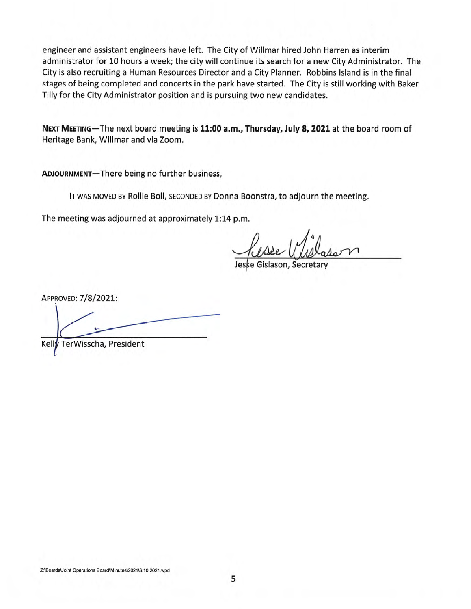engineer and assistant engineers have left. The City of Willmar hired John Harren as interim administrator for 10 hours a week; the city will continue its search for a new City Administrator. The City is also recruiting a Human Resources Director and a City Planner. Robbins Island is in the final stages of being completed and concerts in the park have started. The City is still working with Baker Tilly for the City Administrator position and is pursuing two new candidates.

NEXT MEETING-The next board meeting is 11:00 a.m., Thursday, July 8, 2021 at the board room of Heritage Bank, Willmar and via Zoom.

ADJOURNMENT-There being no further business,

IT WAS MOVED BY Rollie Boll, SECONDED BY Donna Boonstra, to adjourn the meeting.

The meeting was adjourned at approximately 1:14 p.m.

e Gislason, Secretar

APPROVED: 7/8/2021:

TerWisscha, President Kelly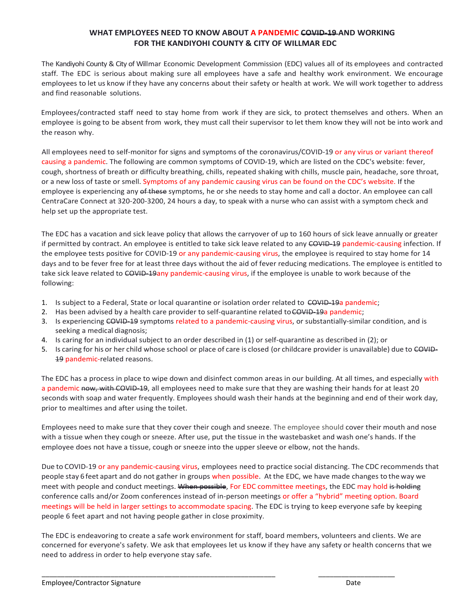#### **WHAT EMPLOYEES NEED TO KNOW ABOUT A PANDEMIC COVID-19 AND WORKING FOR THE KANDIYOHI COUNTY & CITY OF WILLMAR EDC**

The Kandiyohi County & City of Willmar Economic Development Commission (EDC) values all of its employees and contracted staff. The EDC is serious about making sure all employees have a safe and healthy work environment. We encourage employees to let us know if they have any concerns about their safety or health at work. We will work together to address and find reasonable solutions.

Employees/contracted staff need to stay home from work if they are sick, to protect themselves and others. When an employee is going to be absent from work, they must call their supervisor to let them know they will not be into work and the reason why.

All employees need to self-monitor for signs and symptoms of the coronavirus/COVID-19 or any virus or variant thereof causing a pandemic. The following are common symptoms of COVID-19, which are listed on the CDC's website: fever, cough, shortness of breath or difficulty breathing, chills, repeated shaking with chills, muscle pain, headache, sore throat, or a new loss of taste or smell. Symptoms of any pandemic causing virus can be found on the CDC's website. If the employee is experiencing any of these symptoms, he or she needs to stay home and call a doctor. An employee can call CentraCare Connect at 320-200-3200, 24 hours a day, to speak with a nurse who can assist with a symptom check and help set up the appropriate test.

The EDC has a vacation and sick leave policy that allows the carryover of up to 160 hours of sick leave annually or greater if permitted by contract. An employee is entitled to take sick leave related to any COVID-19 pandemic-causing infection. If the employee tests positive for COVID-19 or any pandemic-causing virus, the employee is required to stay home for 14 days and to be fever free for at least three days without the aid of fever reducing medications. The employee is entitled to take sick leave related to COVID-19any pandemic-causing virus, if the employee is unable to work because of the following:

- 1. Is subject to a Federal, State or local quarantine or isolation order related to COVID-19a pandemic;
- 2. Has been advised by a health care provider to self-quarantine related to COVID-19a pandemic;
- 3. Is experiencing COVID-19 symptoms related to a pandemic-causing virus, or substantially-similar condition, and is seeking a medical diagnosis;
- 4. Is caring for an individual subject to an order described in (1) or self-quarantine as described in (2); or
- 5. Is caring for his or her child whose school or place of care is closed (or childcare provider is unavailable) due to COVID-19 pandemic-related reasons.

The EDC has a process in place to wipe down and disinfect common areas in our building. At all times, and especially with a pandemic now, with COVID-19, all employees need to make sure that they are washing their hands for at least 20 seconds with soap and water frequently. Employees should wash their hands at the beginning and end of their work day, prior to mealtimes and after using the toilet.

Employees need to make sure that they cover their cough and sneeze. The employee should cover their mouth and nose with a tissue when they cough or sneeze. After use, put the tissue in the wastebasket and wash one's hands. If the employee does not have a tissue, cough or sneeze into the upper sleeve or elbow, not the hands.

Due to COVID-19 or any pandemic-causing virus, employees need to practice social distancing. The CDC recommends that people stay 6 feet apart and do not gather in groups when possible. At the EDC, we have made changes to the way we meet with people and conduct meetings. When possible, For EDC committee meetings, the EDC may hold is holding conference calls and/or Zoom conferences instead of in-person meetings or offer a "hybrid" meeting option. Board meetings will be held in larger settings to accommodate spacing. The EDC is trying to keep everyone safe by keeping people 6 feet apart and not having people gather in close proximity.

The EDC is endeavoring to create a safe work environment for staff, board members, volunteers and clients. We are concerned for everyone's safety. We ask that employees let us know if they have any safety or health concerns that we need to address in order to help everyone stay safe.

\_\_\_\_\_\_\_\_\_\_\_\_\_\_\_\_\_\_\_\_\_\_\_\_\_\_\_\_\_\_\_\_\_\_\_\_\_\_\_\_\_\_\_\_\_\_\_\_\_\_\_\_\_\_\_\_\_\_\_\_\_ \_\_\_\_\_\_\_\_\_\_\_\_\_\_\_\_\_\_\_\_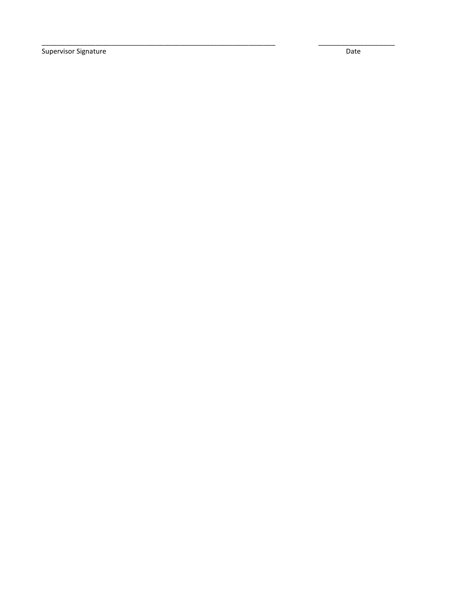Supervisor Signature

Date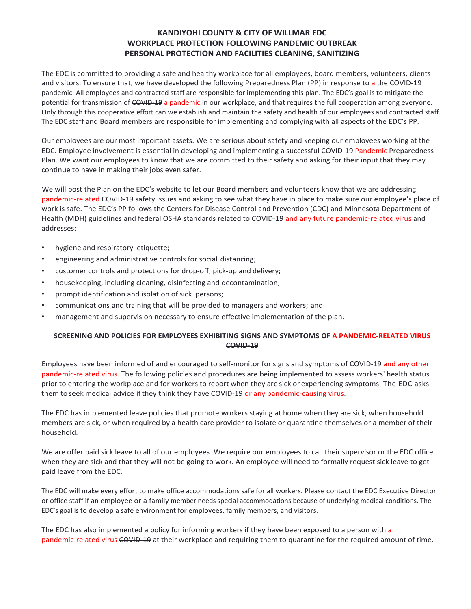#### **KANDIYOHI COUNTY & CITY OF WILLMAR EDC WORKPLACE PROTECTION FOLLOWING PANDEMIC OUTBREAK PERSONAL PROTECTION AND FACILITIES CLEANING, SANITIZING**

The EDC is committed to providing a safe and healthy workplace for all employees, board members, volunteers, clients and visitors. To ensure that, we have developed the following Preparedness Plan (PP) in response to a the COVID-19 pandemic. All employees and contracted staff are responsible for implementing this plan. The EDC's goal is to mitigate the potential for transmission of COVID-19 a pandemic in our workplace, and that requires the full cooperation among everyone. Only through this cooperative effort can we establish and maintain the safety and health of our employees and contracted staff. The EDC staff and Board members are responsible for implementing and complying with all aspects of the EDC's PP.

Our employees are our most important assets. We are serious about safety and keeping our employees working at the EDC. Employee involvement is essential in developing and implementing a successful COVID-19 Pandemic Preparedness Plan. We want our employees to know that we are committed to their safety and asking for their input that they may continue to have in making their jobs even safer.

We will post the Plan on the EDC's website to let our Board members and volunteers know that we are addressing pandemic-related COVID-19 safety issues and asking to see what they have in place to make sure our employee's place of work is safe. The EDC's PP follows the Centers for Disease Control and Prevention (CDC) and Minnesota Department of Health (MDH) guidelines and federal OSHA standards related to COVID-19 and any future pandemic-related virus and addresses:

- hygiene and respiratory etiquette;
- engineering and administrative controls for social distancing;
- customer controls and protections for drop-off, pick-up and delivery;
- housekeeping, including cleaning, disinfecting and decontamination;
- prompt identification and isolation of sick persons;
- communications and training that will be provided to managers and workers; and
- management and supervision necessary to ensure effective implementation of the plan.

#### **SCREENING AND POLICIES FOR EMPLOYEES EXHIBITING SIGNS AND SYMPTOMS OF A PANDEMIC-RELATED VIRUS COVID-19**

Employees have been informed of and encouraged to self-monitor for signs and symptoms of COVID-19 and any other pandemic-related virus. The following policies and procedures are being implemented to assess workers' health status prior to entering the workplace and for workers to report when they are sick or experiencing symptoms. The EDC asks them to seek medical advice if they think they have COVID-19 or any pandemic-causing virus.

The EDC has implemented leave policies that promote workers staying at home when they are sick, when household members are sick, or when required by a health care provider to isolate or quarantine themselves or a member of their household.

We are offer paid sick leave to all of our employees. We require our employees to call their supervisor or the EDC office when they are sick and that they will not be going to work. An employee will need to formally request sick leave to get paid leave from the EDC.

The EDC will make every effort to make office accommodations safe for all workers. Please contact the EDC Executive Director or office staff if an employee or a family member needs special accommodations because of underlying medical conditions. The EDC's goal is to develop a safe environment for employees, family members, and visitors.

The EDC has also implemented a policy for informing workers if they have been exposed to a person with a pandemic-related virus COVID-19 at their workplace and requiring them to quarantine for the required amount of time.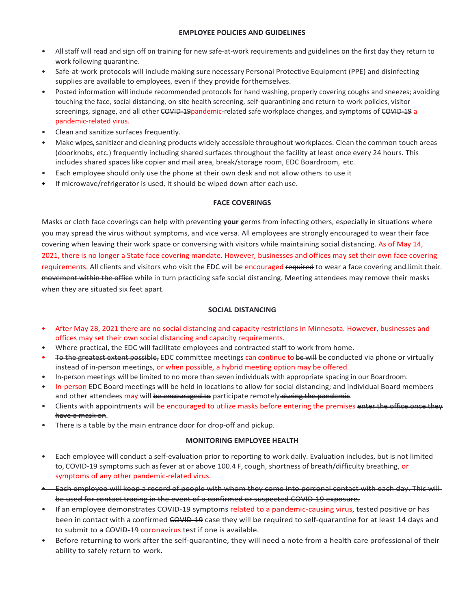#### **EMPLOYEE POLICIES AND GUIDELINES**

- All staff will read and sign off on training for new safe-at-work requirements and guidelines on the first day they return to work following quarantine.
- Safe-at-work protocols will include making sure necessary Personal Protective Equipment (PPE) and disinfecting supplies are available to employees, even if they provide forthemselves.
- Posted information will include recommended protocols for hand washing, properly covering coughs and sneezes; avoiding touching the face, social distancing, on-site health screening, self-quarantining and return-to-work policies, visitor screenings, signage, and all other COVID-19pandemic-related safe workplace changes, and symptoms of COVID-19 a pandemic-related virus.
- Clean and sanitize surfaces frequently.
- Make wipes, sanitizer and cleaning products widely accessible throughout workplaces. Clean the common touch areas (doorknobs, etc.) frequently including shared surfaces throughout the facility at least once every 24 hours. This includes shared spaces like copier and mail area, break/storage room, EDC Boardroom, etc.
- Each employee should only use the phone at their own desk and not allow others to use it
- If microwave/refrigerator is used, it should be wiped down after each use.

#### **FACE COVERINGS**

Masks or cloth face coverings can help with preventing **your** germs from infecting others, especially in situations where you may spread the virus without symptoms, and vice versa. All employees are strongly encouraged to wear their face covering when leaving their work space or conversing with visitors while maintaining social distancing. As of May 14, 2021, there is no longer a State face covering mandate. However, businesses and offices may set their own face covering requirements. All clients and visitors who visit the EDC will be encouraged required to wear a face covering and limit their movement within the office while in turn practicing safe social distancing. Meeting attendees may remove their masks when they are situated six feet apart.

#### **SOCIAL DISTANCING**

- After May 28, 2021 there are no social distancing and capacity restrictions in Minnesota. However, businesses and offices may set their own social distancing and capacity requirements.
- Where practical, the EDC will facilitate employees and contracted staff to work from home.
- To the greatest extent possible, EDC committee meetings can continue to be will be conducted via phone or virtually instead of in-person meetings, or when possible, a hybrid meeting option may be offered.
- In-person meetings will be limited to no more than seven individuals with appropriate spacing in our Boardroom.
- In-person EDC Board meetings will be held in locations to allow for social distancing; and individual Board members and other attendees may will be encouraged to participate remotely during the pandemic.
- Clients with appointments will be encouraged to utilize masks before entering the premises enter the office once they have a mask on.
- There is a table by the main entrance door for drop-off and pickup.

#### **MONITORING EMPLOYEE HEALTH**

- Each employee will conduct a self-evaluation prior to reporting to work daily. Evaluation includes, but is not limited to, COVID-19 symptoms such as fever at or above 100.4 F, cough, shortness of breath/difficulty breathing, or symptoms of any other pandemic-related virus.
- Each employee will keep a record of people with whom they come into personal contact with each day. This will be used for contact tracing in the event of a confirmed or suspected COVID-19 exposure.
- If an employee demonstrates COVID-19 symptoms related to a pandemic-causing virus, tested positive or has been in contact with a confirmed COVID-19 case they will be required to self-quarantine for at least 14 days and to submit to a COVID-19 coronavirus test if one is available.
- Before returning to work after the self-quarantine, they will need a note from a health care professional of their ability to safely return to work.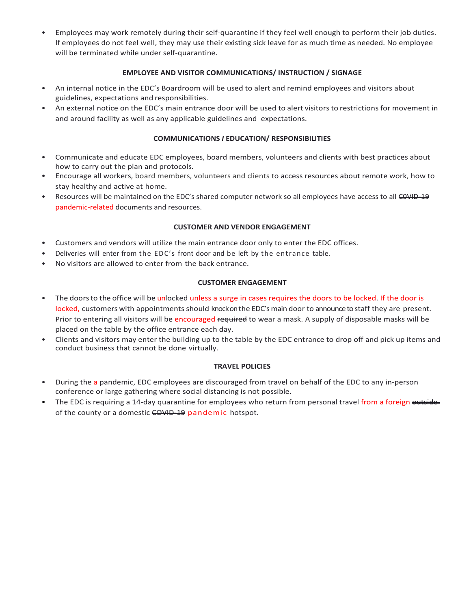• Employees may work remotely during their self-quarantine if they feel well enough to perform their job duties. If employees do not feel well, they may use their existing sick leave for as much time as needed. No employee will be terminated while under self-quarantine.

#### **EMPLOYEE AND VISITOR COMMUNICATIONS/ INSTRUCTION / SIGNAGE**

- An internal notice in the EDC's Boardroom will be used to alert and remind employees and visitors about guidelines, expectations and responsibilities.
- An external notice on the EDC's main entrance door will be used to alert visitors to restrictions for movement in and around facility as well as any applicable guidelines and expectations.

#### **COMMUNICATIONS** *I* **EDUCATION/ RESPONSIBILITIES**

- Communicate and educate EDC employees, board members, volunteers and clients with best practices about how to carry out the plan and protocols.
- Encourage all workers, board members, volunteers and clients to access resources about remote work, how to stay healthy and active at home.
- Resources will be maintained on the EDC's shared computer network so all employees have access to all COVID-19 pandemic-related documents and resources.

#### **CUSTOMER AND VENDOR ENGAGEMENT**

- Customers and vendors will utilize the main entrance door only to enter the EDC offices.
- Deliveries will enter from the EDC's front door and be left by the entrance table.
- No visitors are allowed to enter from the back entrance.

#### **CUSTOMER ENGAGEMENT**

- The doors to the office will be unlocked unless a surge in cases requires the doors to be locked. If the door is locked, customers with appointments should knock on the EDC's main door to announce to staff they are present. Prior to entering all visitors will be encouraged required to wear a mask. A supply of disposable masks will be placed on the table by the office entrance each day.
- Clients and visitors may enter the building up to the table by the EDC entrance to drop off and pick up items and conduct business that cannot be done virtually.

#### **TRAVEL POLICIES**

- During the a pandemic, EDC employees are discouraged from travel on behalf of the EDC to any in-person conference or large gathering where social distancing is not possible.
- The EDC is requiring a 14-day quarantine for employees who return from personal travel from a foreign outside of the county or a domestic COVID-19 pandemic hotspot.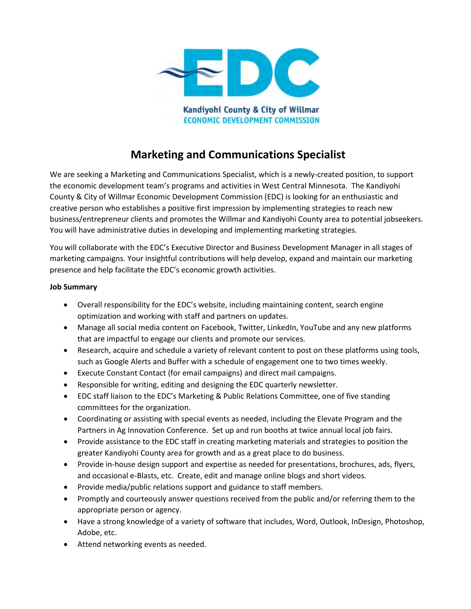

# **Marketing and Communications Specialist**

We are seeking a Marketing and Communications Specialist, which is a newly-created position, to support the economic development team's programs and activities in West Central Minnesota. The Kandiyohi County & City of Willmar Economic Development Commission (EDC) is looking for an enthusiastic and creative person who establishes a positive first impression by implementing strategies to reach new business/entrepreneur clients and promotes the Willmar and Kandiyohi County area to potential jobseekers. You will have administrative duties in developing and implementing marketing strategies.

You will collaborate with the EDC's Executive Director and Business Development Manager in all stages of marketing campaigns. Your insightful contributions will help develop, expand and maintain our marketing presence and help facilitate the EDC's economic growth activities.

#### **Job Summary**

- Overall responsibility for the EDC's website, including maintaining content, search engine optimization and working with staff and partners on updates.
- Manage all social media content on Facebook, Twitter, LinkedIn, YouTube and any new platforms that are impactful to engage our clients and promote our services.
- Research, acquire and schedule a variety of relevant content to post on these platforms using tools, such as Google Alerts and Buffer with a schedule of engagement one to two times weekly.
- Execute Constant Contact (for email campaigns) and direct mail campaigns.
- Responsible for writing, editing and designing the EDC quarterly newsletter.
- EDC staff liaison to the EDC's Marketing & Public Relations Committee, one of five standing committees for the organization.
- Coordinating or assisting with special events as needed, including the Elevate Program and the Partners in Ag Innovation Conference. Set up and run booths at twice annual local job fairs.
- Provide assistance to the EDC staff in creating marketing materials and strategies to position the greater Kandiyohi County area for growth and as a great place to do business.
- Provide in-house design support and expertise as needed for presentations, brochures, ads, flyers, and occasional e-Blasts, etc. Create, edit and manage online blogs and short videos.
- Provide media/public relations support and guidance to staff members.
- Promptly and courteously answer questions received from the public and/or referring them to the appropriate person or agency.
- Have a strong knowledge of a variety of software that includes, Word, Outlook, InDesign, Photoshop, Adobe, etc.
- Attend networking events as needed.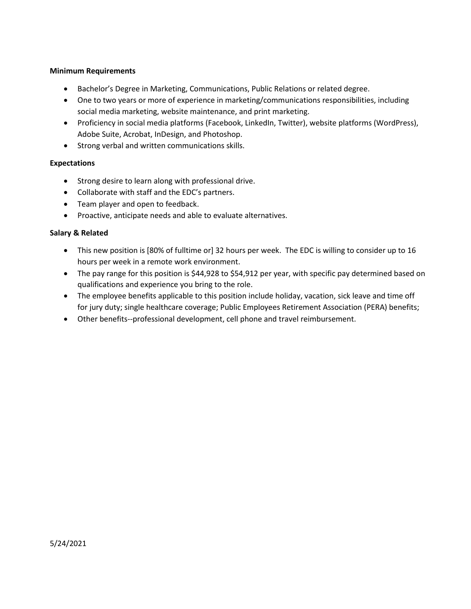#### **Minimum Requirements**

- Bachelor's Degree in Marketing, Communications, Public Relations or related degree.
- One to two years or more of experience in marketing/communications responsibilities, including social media marketing, website maintenance, and print marketing.
- Proficiency in social media platforms (Facebook, LinkedIn, Twitter), website platforms (WordPress), Adobe Suite, Acrobat, InDesign, and Photoshop.
- Strong verbal and written communications skills.

#### **Expectations**

- Strong desire to learn along with professional drive.
- Collaborate with staff and the EDC's partners.
- Team player and open to feedback.
- Proactive, anticipate needs and able to evaluate alternatives.

#### **Salary & Related**

- This new position is [80% of fulltime or] 32 hours per week. The EDC is willing to consider up to 16 hours per week in a remote work environment.
- The pay range for this position is \$44,928 to \$54,912 per year, with specific pay determined based on qualifications and experience you bring to the role.
- The employee benefits applicable to this position include holiday, vacation, sick leave and time off for jury duty; single healthcare coverage; Public Employees Retirement Association (PERA) benefits;
- Other benefits--professional development, cell phone and travel reimbursement.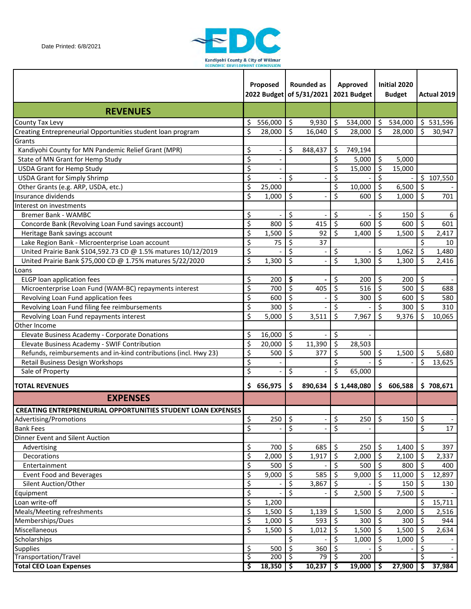

|                                                                     |                  | Proposed  |                          | Rounded as<br>2022 Budget of 5/31/2021 |         | Approved<br>2021 Budget |               | Initial 2020<br><b>Budget</b> |         | Actual 2019 |
|---------------------------------------------------------------------|------------------|-----------|--------------------------|----------------------------------------|---------|-------------------------|---------------|-------------------------------|---------|-------------|
| <b>REVENUES</b>                                                     |                  |           |                          |                                        |         |                         |               |                               |         |             |
| County Tax Levy                                                     | \$               | 556,000   | \$                       | 9,930                                  | \$      | 534,000                 | $\frac{1}{2}$ | 534,000                       |         | \$531,596   |
| Creating Entrepreneurial Opportunities student loan program         | \$               | 28,000    | \$                       | 16,040                                 | \$      | 28,000                  | $\zeta$       | 28,000                        | \$      | 30,947      |
| Grants                                                              |                  |           |                          |                                        |         |                         |               |                               |         |             |
| Kandiyohi County for MN Pandemic Relief Grant (MPR)                 | \$               |           | \$                       | 848,437                                | \$      | 749,194                 |               |                               |         |             |
| State of MN Grant for Hemp Study                                    | $\overline{\xi}$ |           |                          |                                        | \$      | 5,000                   | \$            | 5,000                         |         |             |
| <b>USDA Grant for Hemp Study</b>                                    | \$               |           |                          |                                        | \$      | 15,000                  | \$            | 15,000                        |         |             |
| <b>USDA Grant for Simply Shrimp</b>                                 | \$               |           | \$                       |                                        | \$      |                         | \$            |                               |         | \$107,550   |
| Other Grants (e.g. ARP, USDA, etc.)                                 | \$               | 25,000    |                          |                                        | \$      | 10,000                  | \$            | 6,500                         | \$      |             |
| Insurance dividends                                                 | \$               | 1,000     | \$                       |                                        | \$      | 600                     | \$            | 1,000                         | \$      | 701         |
| Interest on investments                                             |                  |           |                          |                                        |         |                         |               |                               |         |             |
| <b>Bremer Bank - WAMBC</b>                                          | \$               |           | \$                       |                                        | \$      |                         | \$            | 150                           | \$      | 6           |
| Concorde Bank (Revolving Loan Fund savings account)                 | $\overline{\xi}$ | 800       | \$                       | 415                                    | \$      | 600                     | \$            | 600                           | \$      | 601         |
| Heritage Bank savings account                                       | \$               | 1,500     | \$                       | 92                                     | \$      | 1,400                   | \$            | 1,500                         | \$      | 2,417       |
| Lake Region Bank - Microenterprise Loan account                     | \$               | 75        | \$                       | 37                                     |         |                         |               |                               | \$      | 10          |
| United Prairie Bank \$104,592.73 CD @ 1.5% matures 10/12/2019       | \$               |           | $\overline{\mathsf{S}}$  |                                        | \$      |                         | \$            | 1,062                         | \$      | 1,480       |
| United Prairie Bank \$75,000 CD @ 1.75% matures 5/22/2020           | \$               | 1,300     | \$                       |                                        | \$      | 1,300                   | \$            | 1,300                         | \$      | 2,416       |
| Loans                                                               |                  |           |                          |                                        |         |                         |               |                               |         |             |
| <b>ELGP</b> loan application fees                                   | \$               | 200       | \$                       |                                        | \$      | 200                     | \$            | 200                           | \$      |             |
| Microenterprise Loan Fund (WAM-BC) repayments interest              | \$               | 700       | \$                       | 405                                    | \$      | 516                     | \$            | 500                           | \$      | 688         |
| Revolving Loan Fund application fees                                | \$               | 600       | \$                       |                                        | \$      | 300                     | \$            | 600                           | \$      | 580         |
| Revolving Loan Fund filing fee reimbursements                       | \$               | 300       | \$                       |                                        | \$      |                         | \$            | 300                           | \$      | 310         |
| Revolving Loan Fund repayments interest                             | \$               | 5,000     | \$                       | 3,511                                  | Ś       | 7,967                   | \$            | 9,376                         | \$      | 10,065      |
| Other Income                                                        |                  |           |                          |                                        |         |                         |               |                               |         |             |
| Elevate Business Academy - Corporate Donations                      | \$               | 16,000    | $\zeta$                  |                                        | \$      |                         |               |                               |         |             |
| Elevate Business Academy - SWIF Contribution                        | \$               | 20,000    | \$                       | 11,390                                 | \$      | 28,503                  |               |                               |         |             |
| Refunds, reimbursements and in-kind contributions (incl. Hwy 23)    | \$               | 500       | \$                       | 377                                    | \$      | 500                     | \$            | 1,500                         | \$      | 5,680       |
| Retail Business Design Workshops                                    | \$               |           |                          |                                        | \$      |                         | \$            |                               | \$      | 13,625      |
| Sale of Property                                                    | \$               |           | \$                       |                                        | \$      | 65,000                  |               |                               |         |             |
| <b>TOTAL REVENUES</b>                                               |                  | \$656,975 | \$.                      | 890,634                                |         | \$1,448,080             | \$            | 606,588                       |         | \$708,671   |
| <b>EXPENSES</b>                                                     |                  |           |                          |                                        |         |                         |               |                               |         |             |
| <b>CREATING ENTREPRENEURIAL OPPORTUNITIES STUDENT LOAN EXPENSES</b> |                  |           |                          |                                        |         |                         |               |                               |         |             |
| Advertising/Promotions                                              | \$               | 250       | \$                       |                                        | \$      | 250                     | \$            | 150                           | \$      |             |
| <b>Bank Fees</b>                                                    | \$               |           | $\overline{\mathcal{S}}$ |                                        | \$      |                         |               |                               | \$      | 17          |
| Dinner Event and Silent Auction                                     |                  |           |                          |                                        |         |                         |               |                               |         |             |
| Advertising                                                         | \$               | 700       | \$                       | 685                                    | \$      | 250                     | \$            | 1,400                         | \$      | 397         |
| Decorations                                                         | \$               | 2,000     | \$                       | 1,917                                  | $\zeta$ | 2,000                   | \$            | 2,100                         | \$      | 2,337       |
| Entertainment                                                       | \$               | 500       | \$                       |                                        | \$      | 500                     | $\zeta$       | 800                           | $\zeta$ | 400         |
| <b>Event Food and Beverages</b>                                     | \$               | 9,000     | \$                       | 585                                    | \$      | 9,000                   | \$            | 11,000                        | \$      | 12,897      |
| Silent Auction/Other                                                | \$               |           | \$                       | 3,867                                  | \$      |                         | \$            | 150                           | \$      | 130         |
| Equipment                                                           | \$               |           | \$                       |                                        | \$      | 2,500                   | \$            | 7,500                         | \$      |             |
| Loan write-off                                                      | \$               | 1,200     |                          |                                        |         |                         |               |                               | \$      | 15,711      |
| Meals/Meeting refreshments                                          | $\overline{\xi}$ | 1,500     | $\zeta$                  | 1,139                                  | \$      | 1,500                   | $\zeta$       | 2,000                         | \$      | 2,516       |
| Memberships/Dues                                                    | \$               | 1,000     | \$                       | 593                                    | $\zeta$ | 300                     | $\zeta$       | 300                           | \$      | 944         |
| Miscellaneous                                                       | \$               | 1,500     | \$                       | 1,012                                  | \$      | 1,500                   | \$            | 1,500                         | \$      | 2,634       |
| Scholarships                                                        |                  |           | \$                       |                                        | \$      | 1,000                   | \$            | 1,000                         | \$      |             |
| <b>Supplies</b>                                                     | \$               | 500       | \$                       | 360                                    | \$      |                         | \$            |                               | \$      |             |
| Transportation/Travel                                               | \$               | 200       | \$                       | 79                                     | ऽ       | 200                     |               |                               | \$      |             |
| <b>Total CEO Loan Expenses</b>                                      | \$               | 18,350    | \$                       | 10,237                                 | -\$     | 19,000                  | \$            | 27,900                        | \$      | 37,984      |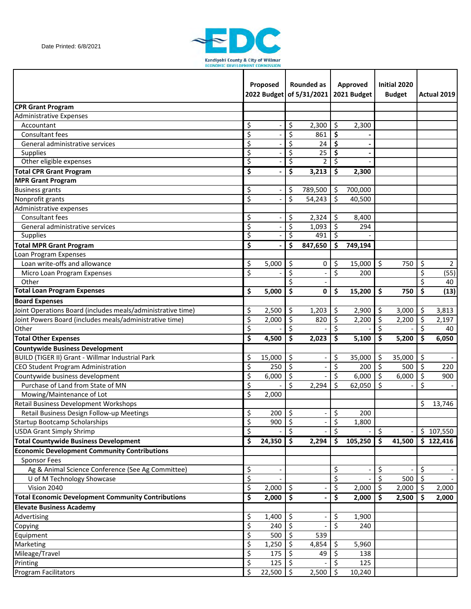

|                                                             |                  | Proposed   | <b>Rounded as</b><br>2022 Budget of 5/31/2021 |         |     | Approved<br>2021 Budget | Initial 2020<br><b>Budget</b> |        |            | Actual 2019 |
|-------------------------------------------------------------|------------------|------------|-----------------------------------------------|---------|-----|-------------------------|-------------------------------|--------|------------|-------------|
| <b>CPR Grant Program</b>                                    |                  |            |                                               |         |     |                         |                               |        |            |             |
| <b>Administrative Expenses</b>                              |                  |            |                                               |         |     |                         |                               |        |            |             |
| Accountant                                                  | \$               |            | \$                                            | 2,300   | \$  | 2,300                   |                               |        |            |             |
| Consultant fees                                             | \$               |            | \$                                            | 861     | \$. |                         |                               |        |            |             |
| General administrative services                             | \$               |            | \$                                            | 24      | \$  |                         |                               |        |            |             |
| <b>Supplies</b>                                             | \$               |            | \$                                            | 25      | S   |                         |                               |        |            |             |
| Other eligible expenses                                     | \$               |            | \$                                            | 2       | \$  |                         |                               |        |            |             |
| <b>Total CPR Grant Program</b>                              | \$               |            | \$                                            | 3,213   | \$  | 2,300                   |                               |        |            |             |
| <b>MPR Grant Program</b>                                    |                  |            |                                               |         |     |                         |                               |        |            |             |
| <b>Business grants</b>                                      | \$               |            | \$                                            | 789,500 | -\$ | 700,000                 |                               |        |            |             |
| Nonprofit grants                                            | $\overline{\xi}$ |            | $\overline{\mathsf{S}}$                       | 54,243  | \$  | 40,500                  |                               |        |            |             |
| Administrative expenses                                     |                  |            |                                               |         |     |                         |                               |        |            |             |
| Consultant fees                                             | \$               |            | \$                                            | 2,324   | \$  | 8,400                   |                               |        |            |             |
| General administrative services                             | \$               |            | \$                                            | 1,093   | \$  | 294                     |                               |        |            |             |
| Supplies                                                    | \$               |            | \$                                            | 491     | \$  |                         |                               |        |            |             |
| <b>Total MPR Grant Program</b>                              | \$               |            | \$                                            | 847,650 | Ŝ.  | 749,194                 |                               |        |            |             |
| Loan Program Expenses                                       |                  |            |                                               |         |     |                         |                               |        |            |             |
| Loan write-offs and allowance                               | \$               | 5,000      | \$                                            | 0       | \$  | 15,000                  | \$                            | 750    | \$         | $2^{\circ}$ |
| Micro Loan Program Expenses                                 | \$               |            | \$                                            |         | \$  | 200                     |                               |        | \$         | (55)        |
| Other                                                       |                  |            | \$                                            |         |     |                         |                               |        | \$         | 40          |
| <b>Total Loan Program Expenses</b>                          | \$               | 5,000      | \$                                            | 0       | \$  | 15,200                  | \$                            | 750    | Ś          | (13)        |
| <b>Board Expenses</b>                                       |                  |            |                                               |         |     |                         |                               |        |            |             |
| Joint Operations Board (includes meals/administrative time) | \$               | 2,500      | \$                                            | 1,203   | \$  | 2,900                   | \$                            | 3,000  | \$         | 3,813       |
| Joint Powers Board (includes meals/administrative time)     | \$               | 2,000      | \$                                            | 820     | \$  | 2,200                   | \$                            | 2,200  | \$         | 2,197       |
| Other                                                       | \$               |            | \$                                            |         | \$  |                         | \$                            |        | \$         | 40          |
| <b>Total Other Expenses</b>                                 | \$               | 4,500      | \$                                            | 2,023   | \$  | 5,100                   | \$                            | 5,200  | \$.        | 6,050       |
| <b>Countywide Business Development</b>                      |                  |            |                                               |         |     |                         |                               |        |            |             |
| BUILD (TIGER II) Grant - Willmar Industrial Park            | \$               | 15,000     | \$                                            |         | \$  | 35,000                  | \$                            | 35,000 | \$         |             |
| CEO Student Program Administration                          | \$               | 250        | \$                                            |         | \$  | 200                     | \$                            | 500    | \$         | 220         |
| Countywide business development                             | \$               | 6,000      | \$                                            |         | \$  | 6,000                   | \$                            | 6,000  | \$         | 900         |
| Purchase of Land from State of MN                           | \$               |            | \$                                            | 2,294   | \$  | 62,050                  | \$                            |        | \$         |             |
| Mowing/Maintenance of Lot                                   | \$               | 2,000      |                                               |         |     |                         |                               |        |            |             |
| Retail Business Development Workshops                       |                  |            |                                               |         |     |                         |                               |        | $\sqrt{2}$ | 13,746      |
| Retail Business Design Follow-up Meetings                   | \$               | 200        | \$                                            |         | \$  | 200                     |                               |        |            |             |
| <b>Startup Bootcamp Scholarships</b>                        | \$               | 900        | \$                                            |         | \$  | 1,800                   |                               |        |            |             |
| <b>USDA Grant Simply Shrimp</b>                             | $\overline{\xi}$ |            | \$                                            |         | \$  |                         | \$                            |        |            | \$107,550   |
| <b>Total Countywide Business Development</b>                | \$               | 24,350     | \$                                            | 2,294   | \$. | 105,250                 | S                             | 41,500 |            | \$122,416   |
| <b>Economic Development Community Contributions</b>         |                  |            |                                               |         |     |                         |                               |        |            |             |
| <b>Sponsor Fees</b>                                         |                  |            |                                               |         |     |                         |                               |        |            |             |
| Ag & Animal Science Conference (See Ag Committee)           | \$               |            |                                               |         | \$  |                         | \$                            |        | \$         |             |
| U of M Technology Showcase                                  | \$               |            |                                               |         | \$  |                         | \$                            | 500    | \$         |             |
| Vision 2040                                                 | \$               | 2,000      | $\zeta$                                       |         | \$  | 2,000                   | \$                            | 2,000  | \$         | 2,000       |
| <b>Total Economic Development Community Contributions</b>   | \$               | $2,000$ \$ |                                               |         | \$  | 2,000                   | \$                            | 2,500  | Ŝ          | 2,000       |
| <b>Elevate Business Academy</b>                             |                  |            |                                               |         |     |                         |                               |        |            |             |
| Advertising                                                 | \$               | 1,400      | \$                                            |         | \$  | 1,900                   |                               |        |            |             |
| Copying                                                     | \$               | 240        | \$                                            |         | Ś.  | 240                     |                               |        |            |             |
| Equipment                                                   | \$               | 500        | Ŝ.                                            | 539     |     |                         |                               |        |            |             |
| Marketing                                                   | \$               | 1,250      | \$                                            | 4,854   | \$  | 5,960                   |                               |        |            |             |
| Mileage/Travel                                              | \$               | 175        | Ś.                                            | 49      | Ŝ   | 138                     |                               |        |            |             |
| Printing                                                    | \$               | 125        | S                                             |         |     | 125                     |                               |        |            |             |
| <b>Program Facilitators</b>                                 | \$               | 22,500     | \$                                            | 2,500   | \$  | 10,240                  |                               |        |            |             |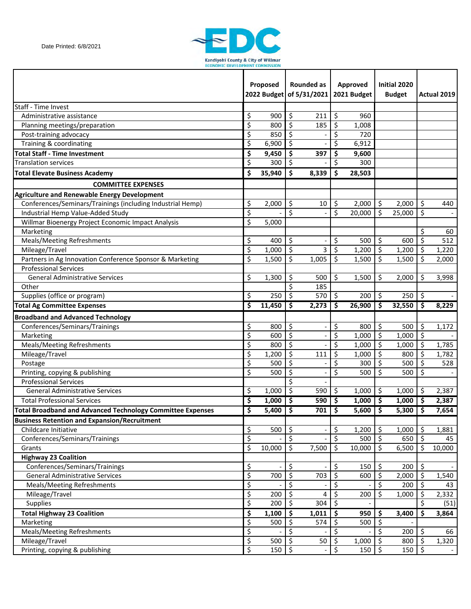

|                                                                   |                                 | Proposed   |                         | <b>Rounded as</b><br>2022 Budget of 5/31/2021 |                     | Approved<br>2021 Budget |                         | Initial 2020<br><b>Budget</b> |                     | Actual 2019 |
|-------------------------------------------------------------------|---------------------------------|------------|-------------------------|-----------------------------------------------|---------------------|-------------------------|-------------------------|-------------------------------|---------------------|-------------|
| <b>Staff - Time Invest</b>                                        |                                 |            |                         |                                               |                     |                         |                         |                               |                     |             |
| Administrative assistance                                         | \$                              | 900        | \$                      | 211                                           | \$                  | 960                     |                         |                               |                     |             |
| Planning meetings/preparation                                     | \$                              | 800        | \$                      | 185                                           | \$                  | 1,008                   |                         |                               |                     |             |
| Post-training advocacy                                            | \$                              | 850        | \$                      |                                               | \$                  | 720                     |                         |                               |                     |             |
| Training & coordinating                                           | \$                              | 6,900      | \$                      |                                               | \$                  | 6,912                   |                         |                               |                     |             |
| <b>Total Staff - Time Investment</b>                              | \$                              | 9,450      | \$                      | 397                                           | \$                  | 9,600                   |                         |                               |                     |             |
| <b>Translation services</b>                                       | \$                              | 300        | \$                      |                                               | \$                  | 300                     |                         |                               |                     |             |
| <b>Total Elevate Business Academy</b>                             | \$                              | 35,940     | \$                      | 8,339                                         | \$                  | 28,503                  |                         |                               |                     |             |
| <b>COMMITTEE EXPENSES</b>                                         |                                 |            |                         |                                               |                     |                         |                         |                               |                     |             |
| Agriculture and Renewable Energy Development                      |                                 |            |                         |                                               |                     |                         |                         |                               |                     |             |
| Conferences/Seminars/Trainings (including Industrial Hemp)        | \$                              | 2,000      | \$                      | 10                                            | \$                  | 2,000                   | \$                      | 2,000                         | \$                  | 440         |
| Industrial Hemp Value-Added Study                                 | $\overline{\xi}$                |            | $\overline{\mathsf{s}}$ |                                               | \$                  | 20,000                  | \$                      | 25,000                        | \$                  |             |
| Willmar Bioenergy Project Economic Impact Analysis                | $\overline{\xi}$                | 5,000      |                         |                                               |                     |                         |                         |                               |                     |             |
| Marketing                                                         |                                 |            |                         |                                               |                     |                         |                         |                               | \$                  | 60          |
| Meals/Meeting Refreshments                                        | \$                              | 400        | \$                      |                                               | \$                  | 500                     | \$                      | 600                           | \$                  | 512         |
| Mileage/Travel                                                    | \$                              | 1,000      | \$                      | 3                                             | \$                  | 1,200                   | \$                      | 1,200                         | \$                  | 1,220       |
| Partners in Ag Innovation Conference Sponsor & Marketing          | \$                              | 1,500      | \$                      | 1,005                                         | \$                  | 1,500                   | \$                      | 1,500                         | \$                  | 2,000       |
| <b>Professional Services</b>                                      |                                 |            |                         |                                               |                     |                         |                         |                               |                     |             |
| <b>General Administrative Services</b>                            | \$                              | 1,300      | \$                      | 500                                           | \$                  | 1,500                   | \$                      | 2,000                         | \$                  | 3,998       |
| Other                                                             |                                 |            | \$                      | 185                                           |                     |                         |                         |                               |                     |             |
| Supplies (office or program)                                      | \$                              | 250        | \$                      | 570                                           | $\zeta$             | 200                     | $\overline{\mathbf{S}}$ | 250                           | \$                  |             |
| <b>Total Ag Committee Expenses</b>                                | \$                              | 11,450     | \$                      | 2,273                                         | Ŝ.                  | 26,900                  | $\mathsf{\$}$           | 32,550                        | \$.                 | 8,229       |
| <b>Broadband and Advanced Technology</b>                          |                                 |            |                         |                                               |                     |                         |                         |                               |                     |             |
| Conferences/Seminars/Trainings                                    | \$                              | 800        | \$                      |                                               | \$                  | 800                     | \$                      | 500                           | \$                  | 1,172       |
| Marketing                                                         | \$                              | 600        | \$                      |                                               | \$                  | 1,000                   | \$                      | 1,000                         | \$                  |             |
| Meals/Meeting Refreshments                                        | \$                              | 800        | \$                      |                                               | \$                  | 1,000                   | \$                      | 1,000                         | \$                  | 1,785       |
| Mileage/Travel                                                    | \$                              | 1,200      | \$                      | 111                                           | \$                  | 1,000                   | \$                      | 800                           | \$                  | 1,782       |
| Postage                                                           | \$                              | 500        | \$                      |                                               | \$                  | 300                     | \$                      | 500                           | \$                  | 528         |
| Printing, copying & publishing                                    | \$                              | 500        | \$                      |                                               | \$                  | 500                     | \$                      | 500                           | \$                  |             |
| <b>Professional Services</b>                                      |                                 |            | \$                      |                                               |                     |                         |                         |                               |                     |             |
| <b>General Administrative Services</b>                            | \$                              | 1,000      | \$                      | 590                                           | \$                  | 1,000                   | \$                      | 1,000                         | \$                  | 2,387       |
| <b>Total Professional Services</b>                                | Ś                               | $1,000$ \$ |                         | $590$ \$                                      |                     | $1,000$ \$              |                         | 1,000                         | \$                  | 2,387       |
| <b>Total Broadband and Advanced Technology Committee Expenses</b> | $\overline{\boldsymbol{\zeta}}$ | $5,400$ \$ |                         | 701                                           | $\ddot{\bm{\zeta}}$ | $5,600$   \$            |                         | 5,300                         | $\ddot{\bm{\zeta}}$ | 7,654       |
| <b>Business Retention and Expansion/Recruitment</b>               |                                 |            |                         |                                               |                     |                         |                         |                               |                     |             |
| Childcare Initiative                                              | \$                              | 500        | $\zeta$                 |                                               | \$                  | 1,200                   | \$                      | 1,000                         | \$                  | 1,881       |
| Conferences/Seminars/Trainings                                    | \$                              |            | \$                      |                                               | \$                  | 500                     | $\zeta$                 | 650                           | \$                  | 45          |
| Grants                                                            | \$                              | 10,000     | \$                      | 7,500                                         | \$                  | 10,000                  | \$                      | 6,500                         | \$.                 | 10,000      |
| <b>Highway 23 Coalition</b>                                       |                                 |            |                         |                                               |                     |                         |                         |                               |                     |             |
| Conferences/Seminars/Trainings                                    | \$                              |            | \$                      |                                               | \$                  | 150                     | \$                      | 200                           | \$                  |             |
| <b>General Administrative Services</b>                            | \$                              | 700        | \$                      | 703                                           | \$                  | 600                     | \$                      | 2,000                         | \$                  | 1,540       |
| Meals/Meeting Refreshments                                        | \$                              |            | \$                      |                                               | \$                  |                         | \$                      | 200                           | \$                  | 43          |
| Mileage/Travel                                                    | $\overline{\xi}$                | 200        | $\zeta$                 | 4                                             | $\zeta$             | 200                     | \$                      | 1,000                         | \$                  | 2,332       |
| Supplies                                                          | \$                              | 200        | $\zeta$                 | 304                                           | $\ddot{\mathsf{S}}$ |                         |                         |                               | \$                  | (51)        |
| <b>Total Highway 23 Coalition</b>                                 | \$                              | 1,100      | \$                      | 1,011                                         | \$                  | 950                     | \$                      | 3,400                         | \$                  | 3,864       |
| Marketing                                                         | \$                              | 500        | \$                      | 574                                           | \$                  | 500                     | \$                      |                               |                     |             |
| <b>Meals/Meeting Refreshments</b>                                 | \$                              |            | \$                      |                                               | \$                  |                         | \$                      | 200                           | \$                  | 66          |
| Mileage/Travel                                                    | $\zeta$                         | 500        | $\zeta$                 | 50                                            | \$                  | 1,000                   | \$                      | 800                           | \$                  | 1,320       |
| Printing, copying & publishing                                    | \$                              | 150        | $\zeta$                 |                                               | \$                  | 150                     | \$                      | 150                           | \$                  |             |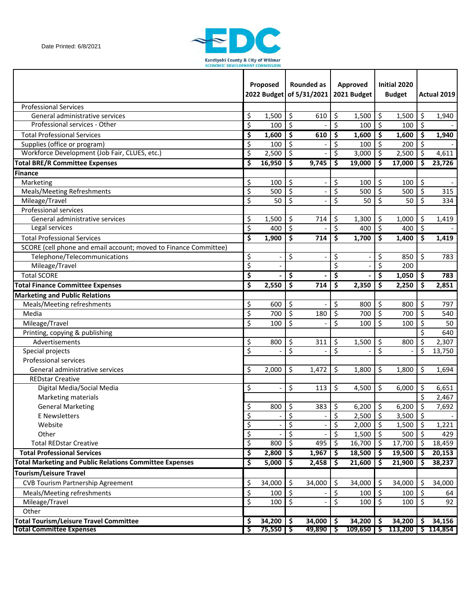

|                                                                  |                                 | Proposed            |                          | Rounded as<br>2022 Budget of 5/31/2021 |                         | Approved<br>2021 Budget |                           | Initial 2020<br><b>Budget</b> |         | Actual 2019            |
|------------------------------------------------------------------|---------------------------------|---------------------|--------------------------|----------------------------------------|-------------------------|-------------------------|---------------------------|-------------------------------|---------|------------------------|
| <b>Professional Services</b>                                     |                                 |                     |                          |                                        |                         |                         |                           |                               |         |                        |
| General administrative services                                  | \$                              | 1,500               | \$                       | 610                                    | \$                      | 1,500                   | \$                        | 1,500                         | \$      | 1,940                  |
| Professional services - Other                                    | \$                              | 100                 | \$                       |                                        | \$                      | 100                     | \$                        | 100                           | \$      |                        |
| <b>Total Professional Services</b>                               | \$                              | 1,600               | \$                       | 610                                    | \$                      | 1,600                   | \$                        | 1,600                         | \$      | 1,940                  |
| Supplies (office or program)                                     | $\overline{\mathcal{S}}$        | 100                 | \$                       |                                        | \$                      | 100                     | \$                        | 200                           | \$      |                        |
| Workforce Development (Job Fair, CLUES, etc.)                    | \$                              | 2,500               | \$                       |                                        | \$                      | 3,000                   | $\zeta$                   | 2,500                         | \$      | 4,611                  |
| <b>Total BRE/R Committee Expenses</b>                            | \$                              | 16,950              | \$                       | 9,745                                  | \$                      | 19,000                  | \$                        | 17,000                        | \$      | 23,726                 |
| <b>Finance</b>                                                   |                                 |                     |                          |                                        |                         |                         |                           |                               |         |                        |
| Marketing                                                        | \$                              | 100                 | \$                       |                                        | \$                      | 100                     | \$                        | 100                           | \$      |                        |
| Meals/Meeting Refreshments                                       | \$                              | 500                 | \$                       |                                        | \$                      | 500                     | \$                        | 500                           | \$      | 315                    |
| Mileage/Travel                                                   | \$                              | 50                  | \$                       |                                        | \$                      | 50                      | \$                        | 50                            | \$      | 334                    |
| <b>Professional services</b>                                     |                                 |                     |                          |                                        |                         |                         |                           |                               |         |                        |
| General administrative services                                  | \$                              | 1,500               | \$                       | 714                                    | \$                      | 1,300                   | \$                        | 1,000                         | \$      | 1,419                  |
| Legal services                                                   | $\overline{\mathcal{S}}$        | 400                 | $\overline{\mathcal{S}}$ |                                        | \$                      | 400                     | $\overline{\mathcal{S}}$  | 400                           | $\zeta$ |                        |
| <b>Total Professional Services</b>                               | \$                              | 1,900               | \$                       | 714                                    | \$                      | 1,700                   | \$                        | 1,400                         | \$      | 1,419                  |
| SCORE (cell phone and email account; moved to Finance Committee) |                                 |                     |                          |                                        |                         |                         |                           |                               |         |                        |
| Telephone/Telecommunications                                     | \$                              |                     | \$                       |                                        | \$                      |                         | \$                        | 850                           | \$      | 783                    |
| Mileage/Travel                                                   | $\overline{\xi}$                |                     |                          |                                        | $\overline{\mathsf{S}}$ |                         | \$                        | 200                           |         |                        |
| <b>Total SCORE</b>                                               | \$                              |                     | \$                       |                                        | \$                      |                         | \$                        | 1,050                         | \$      | 783                    |
| <b>Total Finance Committee Expenses</b>                          | \$                              | 2,550               | \$                       | 714                                    | \$                      | 2,350                   | \$                        | 2,250                         | \$      | 2,851                  |
| <b>Marketing and Public Relations</b>                            |                                 |                     |                          |                                        |                         |                         |                           |                               |         |                        |
| Meals/Meeting refreshments                                       | \$                              | 600                 | \$                       |                                        | \$                      | 800                     | \$                        | 800                           | \$      | 797                    |
| Media                                                            | \$                              | 700                 | \$                       | 180                                    | \$                      | 700                     | \$                        | 700                           | \$      | 540                    |
| Mileage/Travel                                                   | \$                              | 100                 | \$                       |                                        | \$                      | 100                     | \$                        | 100                           | \$      | 50                     |
| Printing, copying & publishing                                   |                                 |                     |                          |                                        |                         |                         |                           |                               | \$      | 640                    |
| Advertisements                                                   | \$                              | 800                 | \$                       | 311                                    | \$                      | 1,500                   | \$                        | 800                           | \$      | 2,307                  |
| Special projects                                                 | \$                              |                     | \$                       |                                        | \$                      |                         | \$                        |                               | \$      | 13,750                 |
| Professional services                                            |                                 |                     |                          |                                        |                         |                         |                           |                               |         |                        |
| General administrative services                                  | \$                              | 2,000               | \$                       | 1,472                                  | \$                      | 1,800                   | \$                        | 1,800                         | \$      | 1,694                  |
| <b>REDstar Creative</b>                                          |                                 |                     |                          |                                        |                         |                         |                           |                               |         |                        |
| Digital Media/Social Media                                       | \$                              |                     | \$                       | 113                                    | \$                      | 4,500                   | \$                        | 6,000                         | \$      | 6,651                  |
| Marketing materials                                              |                                 |                     |                          |                                        |                         |                         |                           |                               | \$      | 2,467                  |
| <b>General Marketing</b>                                         | \$                              | 800                 | \$                       | 383                                    | \$                      | $6,200$ \$              |                           | 6,200                         | \$      | 7,692                  |
| <b>E</b> Newsletters                                             | \$                              |                     | \$                       |                                        | \$                      | 2,500                   | \$                        | 3,500                         | \$      |                        |
| Website                                                          | \$                              |                     | \$                       |                                        | \$                      | 2,000                   | $\boldsymbol{\mathsf{S}}$ | 1,500                         | \$      | 1,221                  |
| Other                                                            | \$                              |                     | $\overline{\mathsf{S}}$  |                                        | \$                      | 1,500                   | \$                        | 500                           | $\zeta$ | 429                    |
| <b>Total REDstar Creative</b>                                    | $\varsigma$                     | 800                 | \$                       | 495                                    | \$                      | 16,700                  | \$                        | 17,700                        | \$      | 18,459                 |
| <b>Total Professional Services</b>                               | $\overline{\boldsymbol{\zeta}}$ | 2,800               | \$                       | 1,967                                  | \$                      | 18,500                  | \$                        | 19,500                        | \$      | 20,153                 |
| <b>Total Marketing and Public Relations Committee Expenses</b>   | \$                              | 5,000               | \$                       | 2,458                                  | \$                      | 21,600                  | $\ddot{\bm{\zeta}}$       | 21,900                        | \$      | 38,237                 |
| <b>Tourism/Leisure Travel</b>                                    |                                 |                     |                          |                                        |                         |                         |                           |                               |         |                        |
| <b>CVB Tourism Partnership Agreement</b>                         | \$                              | 34,000              | \$                       | 34,000                                 | \$                      | 34,000                  | \$                        | 34,000                        | \$      | 34,000                 |
| Meals/Meeting refreshments                                       | \$                              | 100                 | \$                       |                                        | \$                      | 100                     | \$                        | 100                           | \$      | 64                     |
| Mileage/Travel                                                   | \$                              | 100                 | \$                       |                                        | \$                      | 100                     | \$                        | 100                           | \$      | 92                     |
| Other                                                            |                                 |                     |                          |                                        |                         |                         |                           |                               |         |                        |
| <b>Total Tourism/Leisure Travel Committee</b>                    | \$                              | $34,200$   \$       |                          | 34,000                                 | $\ddot{\bm{s}}$         | $34,200$   \$           |                           | 34,200                        | S       | 34,156                 |
| <b>Total Committee Expenses</b>                                  | ऽ                               | $75,550$ $\sqrt{5}$ |                          | $49,890$   \$                          |                         | $109,650$   \$          |                           |                               |         | $113,200$   \$ 114,854 |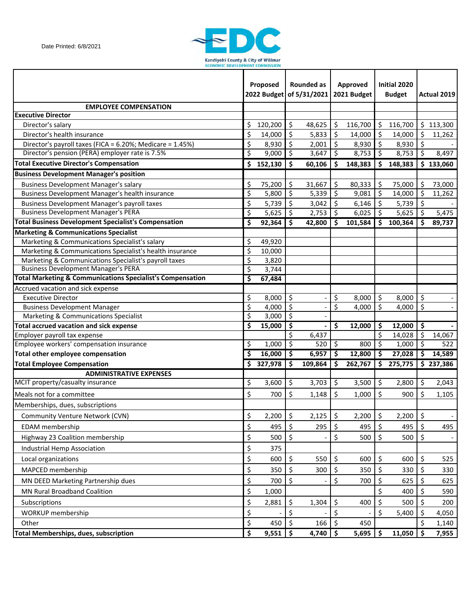

|                                                                       |                                 | Proposed   |         | Rounded as<br>2022 Budget of 5/31/2021 |                    | <b>Approved</b><br>2021 Budget |                                 | Initial 2020<br><b>Budget</b> |         | Actual 2019            |
|-----------------------------------------------------------------------|---------------------------------|------------|---------|----------------------------------------|--------------------|--------------------------------|---------------------------------|-------------------------------|---------|------------------------|
| <b>EMPLOYEE COMPENSATION</b>                                          |                                 |            |         |                                        |                    |                                |                                 |                               |         |                        |
| <b>Executive Director</b>                                             |                                 |            |         |                                        |                    |                                |                                 |                               |         |                        |
| Director's salary                                                     | \$                              | 120,200    | \$      | 48,625                                 | \$                 | 116,700                        | \$                              | 116,700                       |         | \$113,300              |
| Director's health insurance                                           | $\zeta$                         | 14,000     | \$      | 5,833                                  | Ŝ.                 | 14,000                         | \$                              | 14,000                        | \$      | 11,262                 |
| Director's payroll taxes (FICA = 6.20%; Medicare = 1.45%)             | \$                              | 8,930      | \$      | 2,001                                  | $\zeta$            | 8,930                          | \$                              | 8,930                         | $\zeta$ |                        |
| Director's pension (PERA) employer rate is 7.5%                       | $\overline{\mathcal{S}}$        | 9,000      | $\zeta$ | 3,647                                  | \$ ا               | 8,753                          | \$                              | 8,753                         | \$      | 8,497                  |
| <b>Total Executive Director's Compensation</b>                        | \$                              | 152,130    | \$      | 60,106                                 | $\mathsf{\hat{S}}$ | 148,383                        | \$                              | 148,383                       |         | \$133,060              |
| <b>Business Development Manager's position</b>                        |                                 |            |         |                                        |                    |                                |                                 |                               |         |                        |
| <b>Business Development Manager's salary</b>                          | \$                              | 75,200     | \$      | 31,667                                 | \$                 | 80,333                         | \$                              | 75,000                        | \$      | 73,000                 |
| Business Development Manager's health insurance                       | $\overline{\mathcal{S}}$        | 5,800      | \$      | 5,339                                  | $\zeta$            | 9,081                          | \$                              | 14,000                        | \$      | 11,262                 |
| <b>Business Development Manager's payroll taxes</b>                   | \$                              | 5,739      | \$      | 3,042                                  | \$                 | 6,146                          | \$                              | 5,739                         | \$      |                        |
| <b>Business Development Manager's PERA</b>                            | $\overline{\mathcal{S}}$        | 5,625      | $\zeta$ | 2,753                                  | \$                 | 6,025                          | \$                              | 5,625                         | \$      | 5,475                  |
| <b>Total Business Development Specialist's Compensation</b>           | $\overline{\boldsymbol{\zeta}}$ | 92,364     | \$      | 42,800                                 | Ŝ                  | 101,584                        | \$                              | 100,364                       | Ś       | 89,737                 |
| <b>Marketing &amp; Communications Specialist</b>                      |                                 |            |         |                                        |                    |                                |                                 |                               |         |                        |
| Marketing & Communications Specialist's salary                        | \$                              | 49,920     |         |                                        |                    |                                |                                 |                               |         |                        |
| Marketing & Communications Specialist's health insurance              | \$                              | 10,000     |         |                                        |                    |                                |                                 |                               |         |                        |
| Marketing & Communications Specialist's payroll taxes                 | \$                              | 3,820      |         |                                        |                    |                                |                                 |                               |         |                        |
| <b>Business Development Manager's PERA</b>                            | $\overline{\mathcal{S}}$        | 3,744      |         |                                        |                    |                                |                                 |                               |         |                        |
| <b>Total Marketing &amp; Communications Specialist's Compensation</b> | \$                              | 67,484     |         |                                        |                    |                                |                                 |                               |         |                        |
| Accrued vacation and sick expense                                     |                                 |            |         |                                        |                    |                                |                                 |                               |         |                        |
| <b>Executive Director</b>                                             | \$                              | 8,000      | \$      |                                        | \$                 | 8,000                          | \$                              | 8,000                         | \$      |                        |
| <b>Business Development Manager</b>                                   | $\overline{\mathcal{S}}$        | 4,000      | \$      |                                        | \$                 | 4,000                          | \$                              | 4,000                         | \$      |                        |
| Marketing & Communications Specialist                                 | \$                              | 3,000      | $\zeta$ |                                        |                    |                                |                                 |                               |         |                        |
| <b>Total accrued vacation and sick expense</b>                        | \$                              | 15,000     | \$      |                                        | \$                 | 12,000                         | \$                              | 12,000                        | \$      |                        |
| Employer payroll tax expense                                          |                                 |            | \$      | 6,437                                  |                    |                                | \$                              | 14,028                        | \$      | 14,067                 |
| Employee workers' compensation insurance                              | \$                              | 1,000      | \$      | 520                                    | $\zeta$            | 800                            | \$                              | 1,000                         | \$      | 522                    |
| <b>Total other employee compensation</b>                              | \$                              | 16,000     | \$      | 6,957                                  | \$ ا               | 12,800                         | \$                              | 27,028                        | \$      | 14,589                 |
| <b>Total Employee Compensation</b>                                    | \$                              | 327,978    | \$      | 109,864                                | \$                 | 262,767                        | $\overline{\boldsymbol{\zeta}}$ | 275,775                       |         | $\overline{5}$ 237,386 |
| <b>ADMINISTRATIVE EXPENSES</b><br>MCIT property/casualty insurance    |                                 | 3,600      |         | 3,703                                  |                    | 3,500                          |                                 |                               |         |                        |
|                                                                       | \$                              |            | \$      |                                        | \$                 |                                | \$                              | 2,800                         | \$      | 2,043                  |
| Meals not for a committee                                             | \$                              | 700        | \$      | 1,148                                  | \$                 | 1,000                          | \$                              | 900                           | \$      | 1,105                  |
| Memberships, dues, subscriptions                                      |                                 |            |         |                                        |                    |                                |                                 |                               |         |                        |
| Community Venture Network (CVN)                                       | \$                              | 2,200      | \$      | 2,125                                  | \$                 | 2,200                          | \$                              | 2,200                         | \$      |                        |
| <b>EDAM</b> membership                                                | \$                              | 495        | \$      | 295                                    | \$                 | 495                            | \$                              | 495                           | \$      | 495                    |
| Highway 23 Coalition membership                                       | \$                              | 500        | \$      |                                        | \$                 | 500                            | \$                              | 500                           | \$      |                        |
| Industrial Hemp Association                                           | \$                              | 375        |         |                                        |                    |                                |                                 |                               |         |                        |
| Local organizations                                                   | \$                              | 600        | \$      | 550                                    | \$                 | 600                            | \$                              | 600                           | \$      | 525                    |
| MAPCED membership                                                     | \$                              | 350        | \$      | 300                                    | \$                 | 350                            | \$                              | 330                           | \$      | 330                    |
| MN DEED Marketing Partnership dues                                    | \$                              | 700        | \$      |                                        | \$                 | 700                            | \$                              | 625                           | \$      | 625                    |
|                                                                       |                                 |            |         |                                        |                    |                                |                                 |                               |         |                        |
| <b>MN Rural Broadband Coalition</b>                                   | \$                              | 1,000      |         |                                        |                    |                                | \$                              | 400                           | \$      | 590                    |
| Subscriptions                                                         | \$                              | 2,881      | \$      | 1,304                                  | \$                 | 400                            | \$                              | 500                           | \$      | 200                    |
| <b>WORKUP</b> membership                                              | \$                              |            | \$      |                                        | \$                 |                                | \$                              | 5,400                         | \$      | 4,050                  |
| Other                                                                 | \$                              | 450        | \$      | 166                                    | \$                 | 450                            |                                 |                               |         | 1,140                  |
| <b>Total Memberships, dues, subscription</b>                          | $\overline{\boldsymbol{\zeta}}$ | $9,551$ \$ |         | $4,740$ \$                             |                    | 5,695                          | S                               | 11,050                        | \$      | 7,955                  |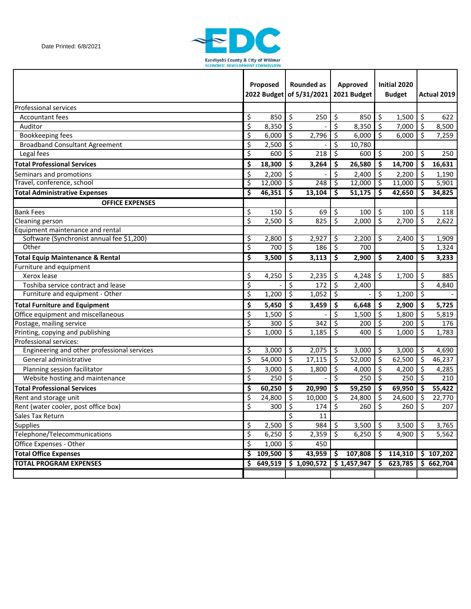

|                                             | Proposed                |              | <b>Rounded as</b><br>2022 Budget of 5/31/2021 |             | <b>Approved</b><br>2021 Budget |             | Initial 2020<br><b>Budget</b> |                        |     | Actual 2019 |
|---------------------------------------------|-------------------------|--------------|-----------------------------------------------|-------------|--------------------------------|-------------|-------------------------------|------------------------|-----|-------------|
| <b>Professional services</b>                |                         |              |                                               |             |                                |             |                               |                        |     |             |
| <b>Accountant fees</b>                      | \$                      | 850          | \$                                            | 250         | \$                             | 850         | \$                            | 1,500                  | \$  | 622         |
| Auditor                                     | \$                      | 8,350        | $\zeta$                                       |             | \$                             | 8,350       | \$                            | 7,000                  | \$  | 8,500       |
| Bookkeeping fees                            | $\overline{\mathsf{S}}$ | 6,000        | \$                                            | 2,796       | \$                             | 6,000       | \$                            | 6,000                  | \$  | 7,259       |
| <b>Broadband Consultant Agreement</b>       | $\overline{\mathsf{S}}$ | 2,500        | \$                                            |             | \$                             | 10,780      |                               |                        |     |             |
| Legal fees                                  | \$                      | 600          | \$                                            | 218         | \$                             | 600         | $\zeta$                       | 200                    | \$  | 250         |
| <b>Total Professional Services</b>          | \$                      | 18,300       | \$                                            | 3,264       | \$                             | 26,580      | \$                            | 14,700                 | \$  | 16,631      |
| Seminars and promotions                     | \$                      | 2,200        | \$                                            |             | \$                             | 2,400       | \$                            | 2,200                  | \$  | 1,190       |
| Travel, conference, school                  | \$                      | 12,000       | ें 5                                          | 248         | ॱऽ                             | 12,000      | ॱऽ                            | 11,000                 | \$  | 5,901       |
| <b>Total Administrative Expenses</b>        | \$                      | 46,351       | \$                                            | 13,104      | \$                             | 51,175      | \$                            | 42,650                 | \$. | 34,825      |
| <b>OFFICE EXPENSES</b>                      |                         |              |                                               |             |                                |             |                               |                        |     |             |
| <b>Bank Fees</b>                            | \$                      | 150          | \$                                            | 69          | \$                             | 100         | \$                            | 100                    | \$  | 118         |
| Cleaning person                             | \$                      | 2,500        | \$                                            | 825         | \$                             | 2,000       | \$                            | 2,700                  | \$  | 2,622       |
| Equipment maintenance and rental            |                         |              |                                               |             |                                |             |                               |                        |     |             |
| Software (Synchronist annual fee \$1,200)   | \$                      | 2,800        | \$                                            | 2,927       | \$                             | 2,200       | \$                            | 2,400                  | \$  | 1,909       |
| Other                                       | \$                      | 700          | $\overline{\mathcal{S}}$                      | 186         | $\zeta$                        | 700         |                               |                        | \$  | 1,324       |
| <b>Total Equip Maintenance &amp; Rental</b> | \$                      | 3,500        | \$                                            | 3,113       | \$                             | 2,900       | \$                            | 2,400                  | \$  | 3,233       |
| Furniture and equipment                     |                         |              |                                               |             |                                |             |                               |                        |     |             |
| Xerox lease                                 | \$                      | 4,250        | \$                                            | 2,235       | \$                             | 4,248       | \$                            | 1,700                  | \$  | 885         |
| Toshiba service contract and lease          | $\overline{\mathsf{S}}$ |              | \$                                            | 172         | \$                             | 2,400       |                               |                        | \$  | 4,840       |
| Furniture and equipment - Other             | \$                      | 1,200        | \$                                            | 1,052       | \$                             |             | \$                            | 1,200                  | \$  |             |
| <b>Total Furniture and Equipment</b>        | \$                      | 5,450        | \$                                            | 3,459       | \$                             | 6,648       | \$                            | 2,900                  | \$  | 5,725       |
| Office equipment and miscellaneous          | \$                      | 1,500        | \$                                            |             | \$                             | 1,500       | \$                            | 1,800                  | \$  | 5,819       |
| Postage, mailing service                    | \$                      | 300          | \$                                            | 342         | \$                             | 200         | \$                            | 200                    | \$  | 176         |
| Printing, copying and publishing            | \$                      | 1,000        | \$                                            | 1,185       | \$                             | 400         | \$                            | 1,000                  | \$  | 1,783       |
| Professional services:                      |                         |              |                                               |             |                                |             |                               |                        |     |             |
| Engineering and other professional services | \$                      | 3,000        | $\zeta$                                       | 2,075       | \$.                            | 3,000       | \$                            | 3,000                  | \$  | 4,690       |
| General administrative                      | \$                      | 54,000       | \$                                            | 17,115      | \$                             | 52,000      | \$                            | 62,500                 | \$  | 46,237      |
| Planning session facilitator                | \$                      | 3,000        | \$                                            | 1,800       | \$                             | 4,000       | \$                            | 4,200                  | \$  | 4,285       |
| Website hosting and maintenance             | \$                      | 250          | $\overline{\mathcal{S}}$                      |             | \$                             | 250         | $\overline{\varsigma}$        | 250                    | \$  | 210         |
| <b>Total Professional Services</b>          | \$                      | 60,250       | \$                                            | 20,990      | \$.                            | 59,250      | \$                            | 69,950                 | \$  | 55,422      |
| Rent and storage unit                       | $\overline{\xi}$        | 24,800       | $\overline{\mathfrak{s}}$                     | 10,000      | $\zeta$                        | 24,800      | $\overline{\mathcal{S}}$      | 24,600                 | \$  | 22,770      |
| Rent (water cooler, post office box)        | \$                      | 300          | \$                                            | 174         | $\zeta$                        | 260         | \$                            | 260                    | \$  | 207         |
| Sales Tax Return                            |                         |              | \$                                            | 11          |                                |             |                               |                        |     |             |
| <b>Supplies</b>                             | \$                      | 2,500        | $\ddot{\bm{\zeta}}$                           | 984         | \$                             | 3,500       | \$                            | 3,500                  | \$  | 3,765       |
| Telephone/Telecommunications                | \$                      | 6,250        | $\ddot{\bm{\zeta}}$                           | 2,359       | \$                             | 6,250       | \$                            | 4,900                  | \$  | 5,562       |
| Office Expenses - Other                     | \$                      | 1,000        | \$ ا                                          | 450         |                                |             |                               |                        |     |             |
| <b>Total Office Expenses</b>                | \$                      | $109,500$ \$ |                                               | 43,959      | \$                             | 107,808     |                               | \$114,310              |     | \$107,202   |
| <b>TOTAL PROGRAM EXPENSES</b>               | \$.                     | 649,519      |                                               | \$1,090,572 |                                | \$1,457,947 |                               | $\overline{5}$ 623,785 |     | \$662,704   |
|                                             |                         |              |                                               |             |                                |             |                               |                        |     |             |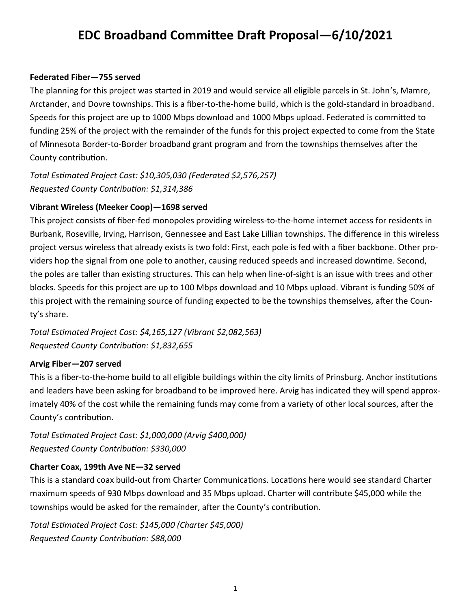# **EDC Broadband Committee Draft Proposal—6/10/2021**

#### **Federated Fiber—755 served**

The planning for this project was started in 2019 and would service all eligible parcels in St. John's, Mamre, Arctander, and Dovre townships. This is a fiber-to-the-home build, which is the gold-standard in broadband. Speeds for this project are up to 1000 Mbps download and 1000 Mbps upload. Federated is committed to funding 25% of the project with the remainder of the funds for this project expected to come from the State of Minnesota Border-to-Border broadband grant program and from the townships themselves after the County contribution.

*Total Estimated Project Cost: \$10,305,030 (Federated \$2,576,257) Requested County Contribution: \$1,314,386*

#### **Vibrant Wireless (Meeker Coop)—1698 served**

This project consists of fiber-fed monopoles providing wireless-to-the-home internet access for residents in Burbank, Roseville, Irving, Harrison, Gennessee and East Lake Lillian townships. The difference in this wireless project versus wireless that already exists is two fold: First, each pole is fed with a fiber backbone. Other providers hop the signal from one pole to another, causing reduced speeds and increased downtime. Second, the poles are taller than existing structures. This can help when line-of-sight is an issue with trees and other blocks. Speeds for this project are up to 100 Mbps download and 10 Mbps upload. Vibrant is funding 50% of this project with the remaining source of funding expected to be the townships themselves, after the County's share.

*Total Estimated Project Cost: \$4,165,127 (Vibrant \$2,082,563) Requested County Contribution: \$1,832,655*

#### **Arvig Fiber—207 served**

This is a fiber-to-the-home build to all eligible buildings within the city limits of Prinsburg. Anchor institutions and leaders have been asking for broadband to be improved here. Arvig has indicated they will spend approximately 40% of the cost while the remaining funds may come from a variety of other local sources, after the County's contribution.

*Total Estimated Project Cost: \$1,000,000 (Arvig \$400,000) Requested County Contribution: \$330,000*

#### **Charter Coax, 199th Ave NE—32 served**

This is a standard coax build-out from Charter Communications. Locations here would see standard Charter maximum speeds of 930 Mbps download and 35 Mbps upload. Charter will contribute \$45,000 while the townships would be asked for the remainder, after the County's contribution.

*Total Estimated Project Cost: \$145,000 (Charter \$45,000) Requested County Contribution: \$88,000*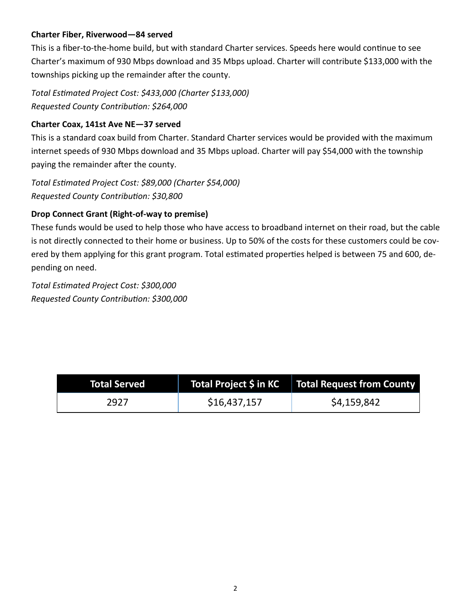# **Charter Fiber, Riverwood—84 served**

This is a fiber-to-the-home build, but with standard Charter services. Speeds here would continue to see Charter's maximum of 930 Mbps download and 35 Mbps upload. Charter will contribute \$133,000 with the townships picking up the remainder after the county.

*Total Estimated Project Cost: \$433,000 (Charter \$133,000) Requested County Contribution: \$264,000*

# **Charter Coax, 141st Ave NE—37 served**

This is a standard coax build from Charter. Standard Charter services would be provided with the maximum internet speeds of 930 Mbps download and 35 Mbps upload. Charter will pay \$54,000 with the township paying the remainder after the county.

*Total Estimated Project Cost: \$89,000 (Charter \$54,000) Requested County Contribution: \$30,800*

# **Drop Connect Grant (Right-of-way to premise)**

These funds would be used to help those who have access to broadband internet on their road, but the cable is not directly connected to their home or business. Up to 50% of the costs for these customers could be covered by them applying for this grant program. Total estimated properties helped is between 75 and 600, depending on need.

*Total Estimated Project Cost: \$300,000 Requested County Contribution: \$300,000*

| <b>Total Served</b> |              | Total Project \$ in KC $\parallel$ Total Request from County |
|---------------------|--------------|--------------------------------------------------------------|
| 2927                | \$16,437,157 | \$4,159,842                                                  |